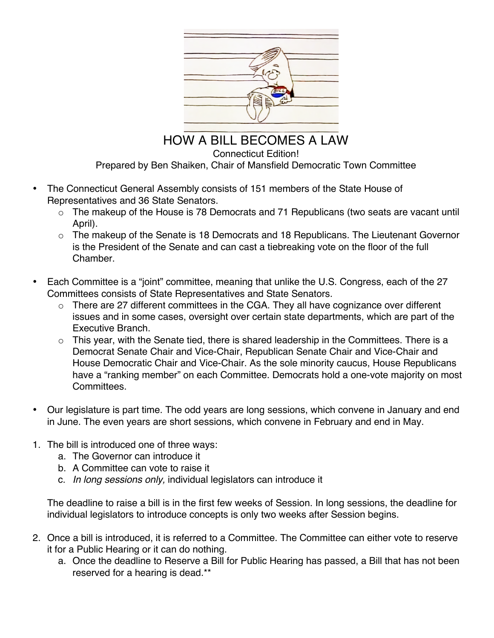

HOW A BILL BECOMES A LAW Connecticut Edition! Prepared by Ben Shaiken, Chair of Mansfield Democratic Town Committee

- The Connecticut General Assembly consists of 151 members of the State House of Representatives and 36 State Senators.
	- o The makeup of the House is 78 Democrats and 71 Republicans (two seats are vacant until April).
	- o The makeup of the Senate is 18 Democrats and 18 Republicans. The Lieutenant Governor is the President of the Senate and can cast a tiebreaking vote on the floor of the full **Chamber**
- Each Committee is a "joint" committee, meaning that unlike the U.S. Congress, each of the 27 Committees consists of State Representatives and State Senators.
	- o There are 27 different committees in the CGA. They all have cognizance over different issues and in some cases, oversight over certain state departments, which are part of the Executive Branch.
	- $\circ$  This year, with the Senate tied, there is shared leadership in the Committees. There is a Democrat Senate Chair and Vice-Chair, Republican Senate Chair and Vice-Chair and House Democratic Chair and Vice-Chair. As the sole minority caucus, House Republicans have a "ranking member" on each Committee. Democrats hold a one-vote majority on most Committees.
- Our legislature is part time. The odd years are long sessions, which convene in January and end in June. The even years are short sessions, which convene in February and end in May.
- 1. The bill is introduced one of three ways:
	- a. The Governor can introduce it
	- b. A Committee can vote to raise it
	- c. *In long sessions only,* individual legislators can introduce it

The deadline to raise a bill is in the first few weeks of Session. In long sessions, the deadline for individual legislators to introduce concepts is only two weeks after Session begins.

- 2. Once a bill is introduced, it is referred to a Committee. The Committee can either vote to reserve it for a Public Hearing or it can do nothing.
	- a. Once the deadline to Reserve a Bill for Public Hearing has passed, a Bill that has not been reserved for a hearing is dead.\*\*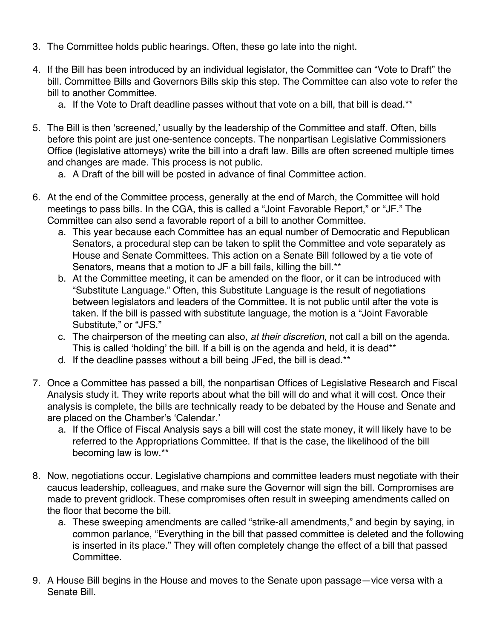- 3. The Committee holds public hearings. Often, these go late into the night.
- 4. If the Bill has been introduced by an individual legislator, the Committee can "Vote to Draft" the bill. Committee Bills and Governors Bills skip this step. The Committee can also vote to refer the bill to another Committee.
	- a. If the Vote to Draft deadline passes without that vote on a bill, that bill is dead.\*\*
- 5. The Bill is then 'screened,' usually by the leadership of the Committee and staff. Often, bills before this point are just one-sentence concepts. The nonpartisan Legislative Commissioners Office (legislative attorneys) write the bill into a draft law. Bills are often screened multiple times and changes are made. This process is not public.
	- a. A Draft of the bill will be posted in advance of final Committee action.
- 6. At the end of the Committee process, generally at the end of March, the Committee will hold meetings to pass bills. In the CGA, this is called a "Joint Favorable Report," or "JF." The Committee can also send a favorable report of a bill to another Committee.
	- a. This year because each Committee has an equal number of Democratic and Republican Senators, a procedural step can be taken to split the Committee and vote separately as House and Senate Committees. This action on a Senate Bill followed by a tie vote of Senators, means that a motion to JF a bill fails, killing the bill.<sup>\*\*</sup>
	- b. At the Committee meeting, it can be amended on the floor, or it can be introduced with "Substitute Language." Often, this Substitute Language is the result of negotiations between legislators and leaders of the Committee. It is not public until after the vote is taken. If the bill is passed with substitute language, the motion is a "Joint Favorable Substitute," or "JFS."
	- c. The chairperson of the meeting can also, *at their discretion*, not call a bill on the agenda. This is called 'holding' the bill. If a bill is on the agenda and held, it is dead\*\*
	- d. If the deadline passes without a bill being JFed, the bill is dead.\*\*
- 7. Once a Committee has passed a bill, the nonpartisan Offices of Legislative Research and Fiscal Analysis study it. They write reports about what the bill will do and what it will cost. Once their analysis is complete, the bills are technically ready to be debated by the House and Senate and are placed on the Chamber's 'Calendar.'
	- a. If the Office of Fiscal Analysis says a bill will cost the state money, it will likely have to be referred to the Appropriations Committee. If that is the case, the likelihood of the bill becoming law is low.\*\*
- 8. Now, negotiations occur. Legislative champions and committee leaders must negotiate with their caucus leadership, colleagues, and make sure the Governor will sign the bill. Compromises are made to prevent gridlock. These compromises often result in sweeping amendments called on the floor that become the bill.
	- a. These sweeping amendments are called "strike-all amendments," and begin by saying, in common parlance, "Everything in the bill that passed committee is deleted and the following is inserted in its place." They will often completely change the effect of a bill that passed Committee.
- 9. A House Bill begins in the House and moves to the Senate upon passage—vice versa with a Senate Bill.